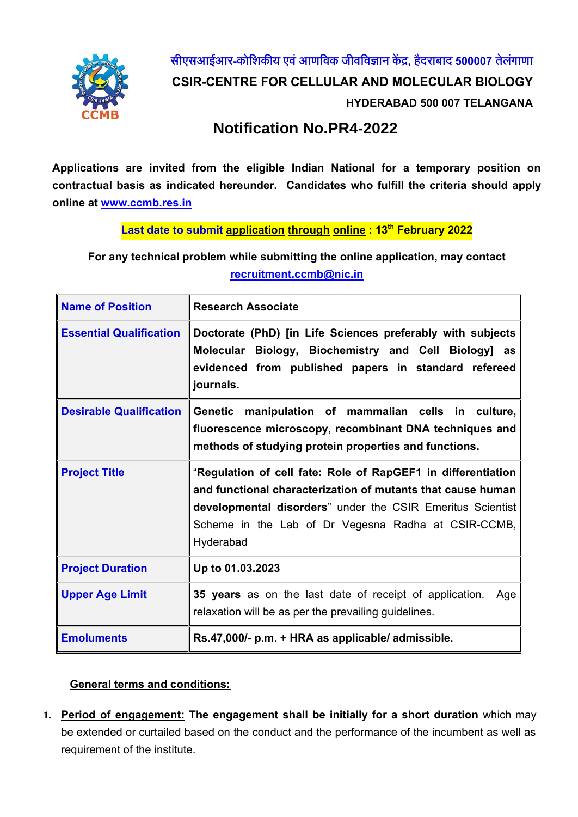

**सीएसआईआर-कोशिकीय एवंआणशवक जीवशवज्ञान केंद्र, हैदराबाद 500007 तेलगं ाणा CSIR-CENTRE FOR CELLULAR AND MOLECULAR BIOLOGY HYDERABAD 500 007 TELANGANA**

## **Notification No.PR4-2022**

**Applications are invited from the eligible Indian National for a temporary position on contractual basis as indicated hereunder. Candidates who fulfill the criteria should apply online at [www.ccmb.res.in](http://www.ccmb.res.in/)**

**Last date to submit application through online: 13th February 2022**

**For any technical problem while submitting the online application, may contact [recruitment.ccmb@nic.in](mailto:recruitment.ccmb@nic.in)**

| <b>Name of Position</b>        | <b>Research Associate</b>                                                                                                                                                                                                                                     |
|--------------------------------|---------------------------------------------------------------------------------------------------------------------------------------------------------------------------------------------------------------------------------------------------------------|
| <b>Essential Qualification</b> | Doctorate (PhD) [in Life Sciences preferably with subjects<br>Molecular Biology, Biochemistry and Cell Biology] as<br>evidenced from published papers in standard refereed<br>journals.                                                                       |
| <b>Desirable Qualification</b> | <b>Genetic</b><br>manipulation of mammalian cells in culture,<br>fluorescence microscopy, recombinant DNA techniques and<br>methods of studying protein properties and functions.                                                                             |
| <b>Project Title</b>           | "Regulation of cell fate: Role of RapGEF1 in differentiation<br>and functional characterization of mutants that cause human<br>developmental disorders" under the CSIR Emeritus Scientist<br>Scheme in the Lab of Dr Vegesna Radha at CSIR-CCMB,<br>Hyderabad |
| <b>Project Duration</b>        | Up to 01.03.2023                                                                                                                                                                                                                                              |
| <b>Upper Age Limit</b>         | 35 years as on the last date of receipt of application.<br>Age<br>relaxation will be as per the prevailing guidelines.                                                                                                                                        |
| <b>Emoluments</b>              | Rs.47,000/- p.m. + HRA as applicable/ admissible.                                                                                                                                                                                                             |

## **General terms and conditions:**

**1. Period of engagement: The engagement shall be initially for a short duration** which may be extended or curtailed based on the conduct and the performance of the incumbent as well as requirement of the institute.